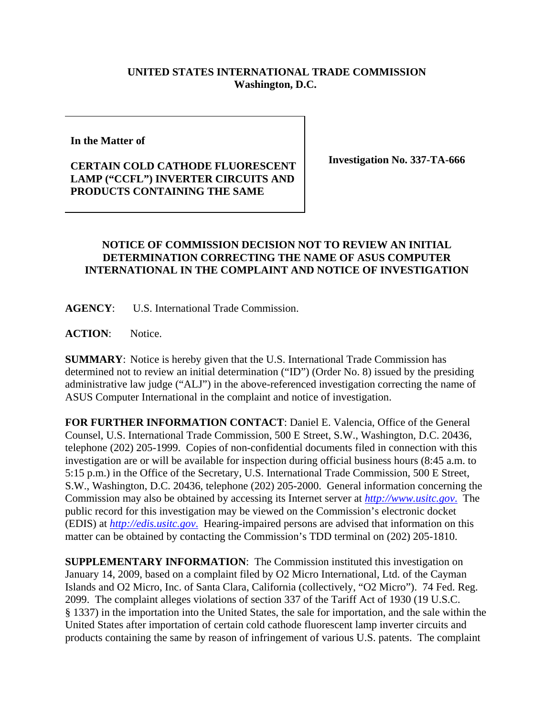## **UNITED STATES INTERNATIONAL TRADE COMMISSION Washington, D.C.**

**In the Matter of** 

## **CERTAIN COLD CATHODE FLUORESCENT LAMP ("CCFL") INVERTER CIRCUITS AND PRODUCTS CONTAINING THE SAME**

**Investigation No. 337-TA-666**

## **NOTICE OF COMMISSION DECISION NOT TO REVIEW AN INITIAL DETERMINATION CORRECTING THE NAME OF ASUS COMPUTER INTERNATIONAL IN THE COMPLAINT AND NOTICE OF INVESTIGATION**

**AGENCY**: U.S. International Trade Commission.

ACTION: Notice.

**SUMMARY**: Notice is hereby given that the U.S. International Trade Commission has determined not to review an initial determination ("ID") (Order No. 8) issued by the presiding administrative law judge ("ALJ") in the above-referenced investigation correcting the name of ASUS Computer International in the complaint and notice of investigation.

**FOR FURTHER INFORMATION CONTACT**: Daniel E. Valencia, Office of the General Counsel, U.S. International Trade Commission, 500 E Street, S.W., Washington, D.C. 20436, telephone (202) 205-1999. Copies of non-confidential documents filed in connection with this investigation are or will be available for inspection during official business hours (8:45 a.m. to 5:15 p.m.) in the Office of the Secretary, U.S. International Trade Commission, 500 E Street, S.W., Washington, D.C. 20436, telephone (202) 205-2000. General information concerning the Commission may also be obtained by accessing its Internet server at *http://www.usitc.gov*. The public record for this investigation may be viewed on the Commission's electronic docket (EDIS) at *http://edis.usitc.gov*. Hearing-impaired persons are advised that information on this matter can be obtained by contacting the Commission's TDD terminal on (202) 205-1810.

**SUPPLEMENTARY INFORMATION**: The Commission instituted this investigation on January 14, 2009, based on a complaint filed by O2 Micro International, Ltd. of the Cayman Islands and O2 Micro, Inc. of Santa Clara, California (collectively, "O2 Micro"). 74 Fed. Reg. 2099. The complaint alleges violations of section 337 of the Tariff Act of 1930 (19 U.S.C. § 1337) in the importation into the United States, the sale for importation, and the sale within the United States after importation of certain cold cathode fluorescent lamp inverter circuits and products containing the same by reason of infringement of various U.S. patents. The complaint